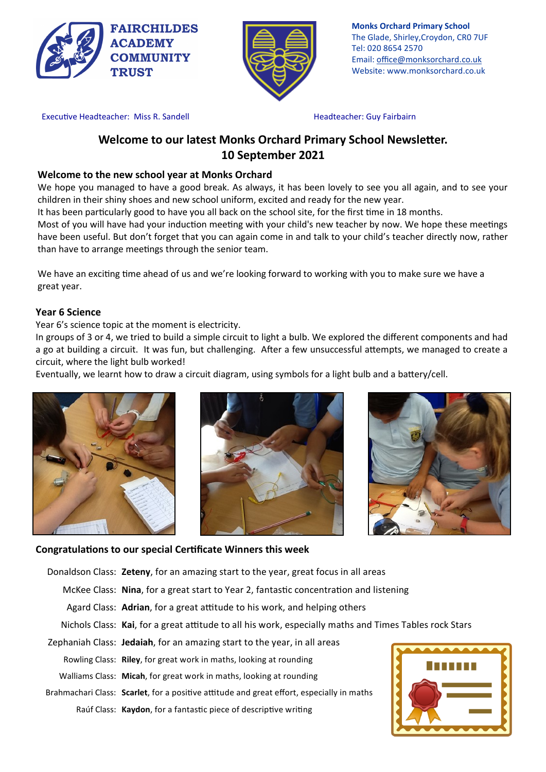



**Monks Orchard Primary School** The Glade, Shirley,Croydon, CR0 7UF Tel: 020 8654 2570 Email: office@monksorchard.co.uk Website: www.monksorchard.co.uk

Executive Headteacher: Miss R. Sandell **Headteacher: Guy Fairbairn** 

# **Welcome to our latest Monks Orchard Primary School Newsletter. 10 September 2021**

# **Welcome to the new school year at Monks Orchard**

We hope you managed to have a good break. As always, it has been lovely to see you all again, and to see your children in their shiny shoes and new school uniform, excited and ready for the new year.

It has been particularly good to have you all back on the school site, for the first time in 18 months.

Most of you will have had your induction meeting with your child's new teacher by now. We hope these meetings have been useful. But don't forget that you can again come in and talk to your child's teacher directly now, rather than have to arrange meetings through the senior team.

We have an exciting time ahead of us and we're looking forward to working with you to make sure we have a great year.

## **Year 6 Science**

Year 6's science topic at the moment is electricity.

In groups of 3 or 4, we tried to build a simple circuit to light a bulb. We explored the different components and had a go at building a circuit. It was fun, but challenging. After a few unsuccessful attempts, we managed to create a circuit, where the light bulb worked!

Eventually, we learnt how to draw a circuit diagram, using symbols for a light bulb and a battery/cell.







## **Congratulations to our special Certificate Winners this week**

Donaldson Class: **Zeteny**, for an amazing start to the year, great focus in all areas

McKee Class: **Nina**, for a great start to Year 2, fantastic concentration and listening

- Agard Class: **Adrian**, for a great attitude to his work, and helping others
- Nichols Class: **Kai**, for a great attitude to all his work, especially maths and Times Tables rock Stars
- Zephaniah Class: **Jedaiah**, for an amazing start to the year, in all areas Rowling Class: **Riley**, for great work in maths, looking at rounding Walliams Class: **Micah**, for great work in maths, looking at rounding Brahmachari Class: **Scarlet**, for a positive attitude and great effort, especially in maths Raúf Class: **Kaydon**, for a fantastic piece of descriptive writing